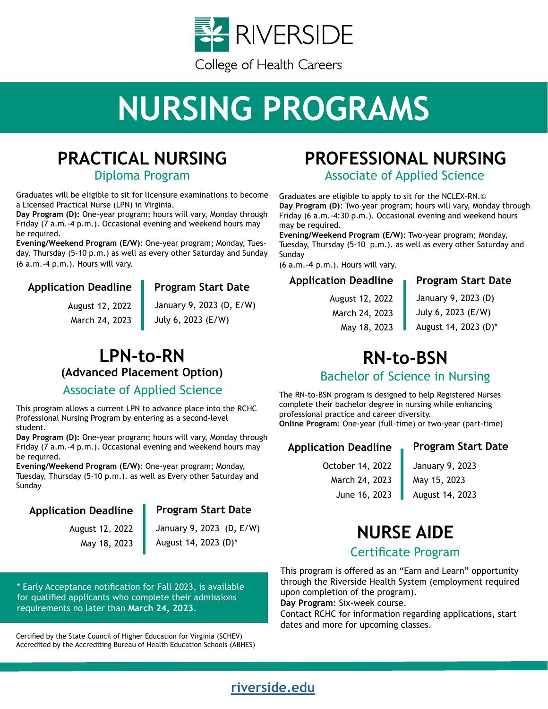

# **NURSING PROGRAMS**



Diploma Program

Graduates will be eligible to sit for licensure examinations to become a Licensed Practical Nurse (LPN) in Virginia.

**Day Program (D):** One-year program; hours will vary, Monday through Friday (7 a.m.-4 p.m.). Occasional evening and weekend hours may be required.

**Evening/Weekend Program (E/W)**: One-year program; Monday, Tuesday, Thursday (5-10 p.m.) as well as every other Saturday and Sunday (6 a.m.-4 p.m.). Hours will vary.

## **Application Deadline Program Start Date**

August 12, 2022 March 24, 2023 January 9, 2023 (D, E/W) July 6, 2023 (E/W)

# **LPN-to-RN [\(Advanced Placement Option\)](https://www.riversideonline.com/careers/college-of-health-careers/nursing-programs/lpn-to-rn-advanced-placement-option)**

# Associate of Applied Science

This program allows a current LPN to advance place into the RCHC Professional Nursing Program by entering as a second-level student.

**Day Program (D):** One-year program; hours will vary, Monday through Friday (7 a.m.-4 p.m.). Occasional evening and weekend hours may be required.

**Evening/Weekend Program (E/W)**: One-year program; Monday, Tuesday, Thursday (5-10 p.m.). as well as Every other Saturday and Sunday

### **Application Deadline Program Start Date**

August 12, 2022 May 18, 2023

January 9, 2023 (D, E/W) August 14, 2023 (D)\*

\* Early Acceptance notification for Fall 2023, is available for qualified applicants who complete their admissions requirements no later than **March 24, 2023**.

Certified by the State Council of Higher Education for Virginia (SCHEV) Accredited by the Accrediting Bureau of Health Education Schools (ABHES)

# **[PROFESSIONAL NURSING](https://www.riversideonline.com/careers/college-of-health-careers/nursing-programs/professional-nursing)**

Associate of Applied Science

Graduates are eligible to apply to sit for the NCLEX-RN.© **Day Program (D)**: Two-year program; hours will vary, Monday through Friday (6 a.m.-4:30 p.m.). Occasional evening and weekend hours may be required.

**Evening/Weekend Program (E/W)**: Two-year program; Monday, Tuesday, Thursday (5-10 p.m.). as well as every other Saturday and Sunday

(6 a.m.-4 p.m.). Hours will vary.

### **Application Deadline Program Start Date**

August 12, 2022 March 24, 2023 May 18, 2023 January 9, 2023 (D) July 6, 2023 (E/W)

August 14, 2023 (D)\*

# **[RN-to-BSN](https://www.riversideonline.com/careers/college-of-health-careers/nursing-programs/rn-to-bachelor-of-science-in-nursing)**

# Bachelor of Science in Nursing

The RN-to-BSN program is designed to help Registered Nurses complete their bachelor degree in nursing while enhancing professional practice and career diversity. **Online Program**: One-year (full-time) or two-year (part-time)

## **Application Deadline Program Start Date**

October 14, 2022 March 24, 2023 June 16, 2023 January 9, 2023 May 15, 2023

August 14, 2023

# **[NURSE AIDE](https://www.riversideonline.com/careers/college-of-health-careers/nursing-programs/nurse-aide)**

# Certificate Program

This program is offered as an "Earn and Learn" opportunity through the Riverside Health System (employment required upon completion of the program).

**Day Program**: Six-week course.

Contact RCHC for information regarding applications, start dates and more for upcoming classes.

# **[riverside.edu](http://riverside.edu)**